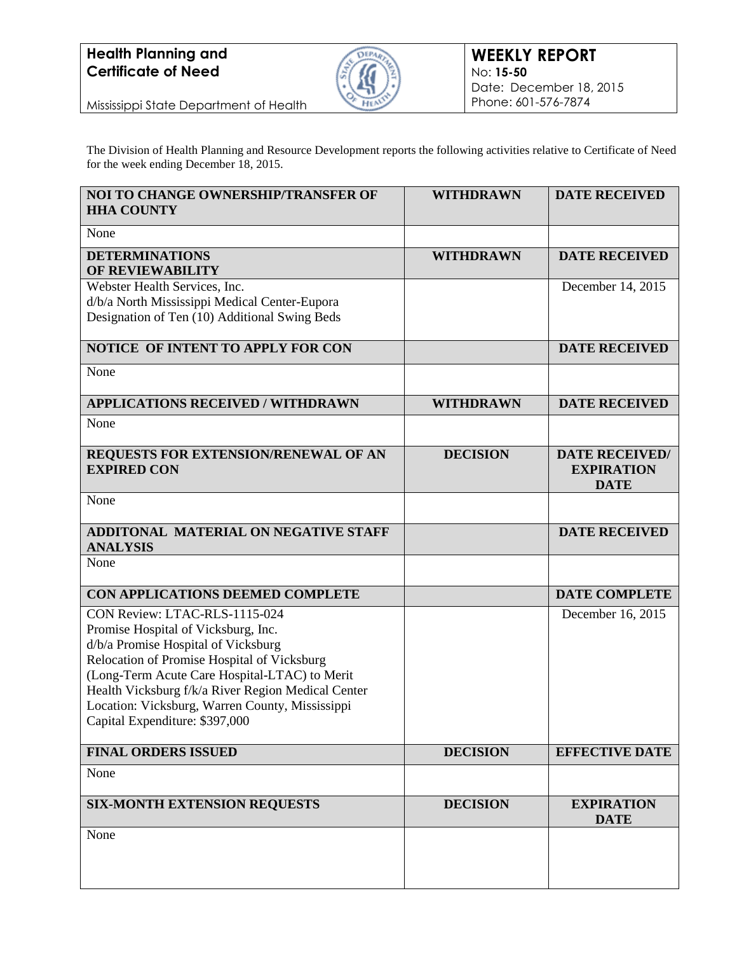

Mississippi State Department of Health

The Division of Health Planning and Resource Development reports the following activities relative to Certificate of Need for the week ending December 18, 2015.

| <b>NOI TO CHANGE OWNERSHIP/TRANSFER OF</b><br><b>HHA COUNTY</b>                                                                                                                                                                                                                                                                                        | <b>WITHDRAWN</b> | <b>DATE RECEIVED</b>                                      |
|--------------------------------------------------------------------------------------------------------------------------------------------------------------------------------------------------------------------------------------------------------------------------------------------------------------------------------------------------------|------------------|-----------------------------------------------------------|
| None                                                                                                                                                                                                                                                                                                                                                   |                  |                                                           |
| <b>DETERMINATIONS</b><br>OF REVIEWABILITY                                                                                                                                                                                                                                                                                                              | <b>WITHDRAWN</b> | <b>DATE RECEIVED</b>                                      |
| Webster Health Services, Inc.<br>d/b/a North Mississippi Medical Center-Eupora<br>Designation of Ten (10) Additional Swing Beds                                                                                                                                                                                                                        |                  | December 14, 2015                                         |
| NOTICE OF INTENT TO APPLY FOR CON                                                                                                                                                                                                                                                                                                                      |                  | <b>DATE RECEIVED</b>                                      |
| None                                                                                                                                                                                                                                                                                                                                                   |                  |                                                           |
| <b>APPLICATIONS RECEIVED / WITHDRAWN</b>                                                                                                                                                                                                                                                                                                               | <b>WITHDRAWN</b> | <b>DATE RECEIVED</b>                                      |
| None                                                                                                                                                                                                                                                                                                                                                   |                  |                                                           |
| REQUESTS FOR EXTENSION/RENEWAL OF AN<br><b>EXPIRED CON</b>                                                                                                                                                                                                                                                                                             | <b>DECISION</b>  | <b>DATE RECEIVED/</b><br><b>EXPIRATION</b><br><b>DATE</b> |
| None                                                                                                                                                                                                                                                                                                                                                   |                  |                                                           |
| <b>ADDITONAL MATERIAL ON NEGATIVE STAFF</b><br><b>ANALYSIS</b>                                                                                                                                                                                                                                                                                         |                  | <b>DATE RECEIVED</b>                                      |
| None                                                                                                                                                                                                                                                                                                                                                   |                  |                                                           |
| CON APPLICATIONS DEEMED COMPLETE                                                                                                                                                                                                                                                                                                                       |                  | <b>DATE COMPLETE</b>                                      |
| CON Review: LTAC-RLS-1115-024<br>Promise Hospital of Vicksburg, Inc.<br>d/b/a Promise Hospital of Vicksburg<br>Relocation of Promise Hospital of Vicksburg<br>(Long-Term Acute Care Hospital-LTAC) to Merit<br>Health Vicksburg f/k/a River Region Medical Center<br>Location: Vicksburg, Warren County, Mississippi<br>Capital Expenditure: \$397,000 |                  | December 16, 2015                                         |
| <b>FINAL ORDERS ISSUED</b>                                                                                                                                                                                                                                                                                                                             | <b>DECISION</b>  | <b>EFFECTIVE DATE</b>                                     |
| None                                                                                                                                                                                                                                                                                                                                                   |                  |                                                           |
| <b>SIX-MONTH EXTENSION REQUESTS</b>                                                                                                                                                                                                                                                                                                                    | <b>DECISION</b>  | <b>EXPIRATION</b><br><b>DATE</b>                          |
| None                                                                                                                                                                                                                                                                                                                                                   |                  |                                                           |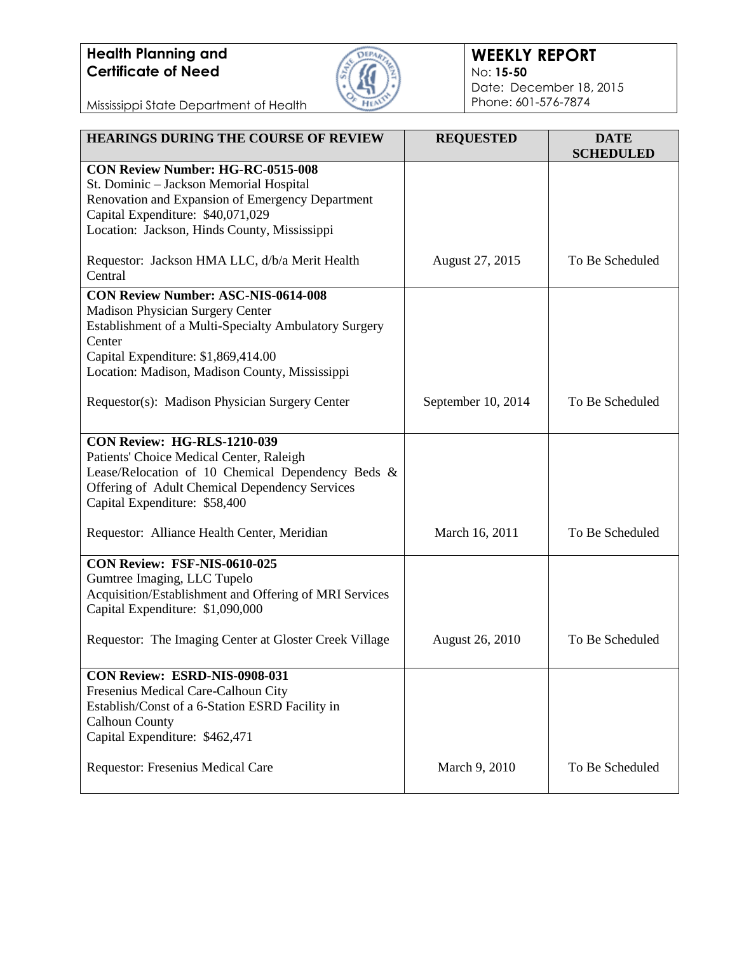

### **WEEKLY REPORT** No: **15-50** Date: December 18, 2015 Phone: 601-576-7874

Mississippi State Department of Health

| <b>HEARINGS DURING THE COURSE OF REVIEW</b>                                    | <b>REQUESTED</b>       | <b>DATE</b><br><b>SCHEDULED</b> |
|--------------------------------------------------------------------------------|------------------------|---------------------------------|
| <b>CON Review Number: HG-RC-0515-008</b>                                       |                        |                                 |
| St. Dominic - Jackson Memorial Hospital                                        |                        |                                 |
| Renovation and Expansion of Emergency Department                               |                        |                                 |
| Capital Expenditure: \$40,071,029                                              |                        |                                 |
| Location: Jackson, Hinds County, Mississippi                                   |                        |                                 |
| Requestor: Jackson HMA LLC, d/b/a Merit Health                                 | August 27, 2015        | To Be Scheduled                 |
| Central                                                                        |                        |                                 |
| <b>CON Review Number: ASC-NIS-0614-008</b>                                     |                        |                                 |
| <b>Madison Physician Surgery Center</b>                                        |                        |                                 |
| Establishment of a Multi-Specialty Ambulatory Surgery                          |                        |                                 |
| Center                                                                         |                        |                                 |
| Capital Expenditure: \$1,869,414.00                                            |                        |                                 |
| Location: Madison, Madison County, Mississippi                                 |                        |                                 |
| Requestor(s): Madison Physician Surgery Center                                 | September 10, 2014     | To Be Scheduled                 |
|                                                                                |                        |                                 |
|                                                                                |                        |                                 |
| <b>CON Review: HG-RLS-1210-039</b><br>Patients' Choice Medical Center, Raleigh |                        |                                 |
| Lease/Relocation of 10 Chemical Dependency Beds &                              |                        |                                 |
| Offering of Adult Chemical Dependency Services                                 |                        |                                 |
| Capital Expenditure: \$58,400                                                  |                        |                                 |
|                                                                                |                        |                                 |
| Requestor: Alliance Health Center, Meridian                                    | March 16, 2011         | To Be Scheduled                 |
| CON Review: FSF-NIS-0610-025                                                   |                        |                                 |
| Gumtree Imaging, LLC Tupelo                                                    |                        |                                 |
| Acquisition/Establishment and Offering of MRI Services                         |                        |                                 |
| Capital Expenditure: \$1,090,000                                               |                        |                                 |
|                                                                                |                        | To Be Scheduled                 |
| Requestor: The Imaging Center at Gloster Creek Village                         | <b>August 26, 2010</b> |                                 |
| CON Review: ESRD-NIS-0908-031                                                  |                        |                                 |
| Fresenius Medical Care-Calhoun City                                            |                        |                                 |
| Establish/Const of a 6-Station ESRD Facility in                                |                        |                                 |
| <b>Calhoun County</b>                                                          |                        |                                 |
| Capital Expenditure: \$462,471                                                 |                        |                                 |
|                                                                                |                        |                                 |
| Requestor: Fresenius Medical Care                                              | March 9, 2010          | To Be Scheduled                 |
|                                                                                |                        |                                 |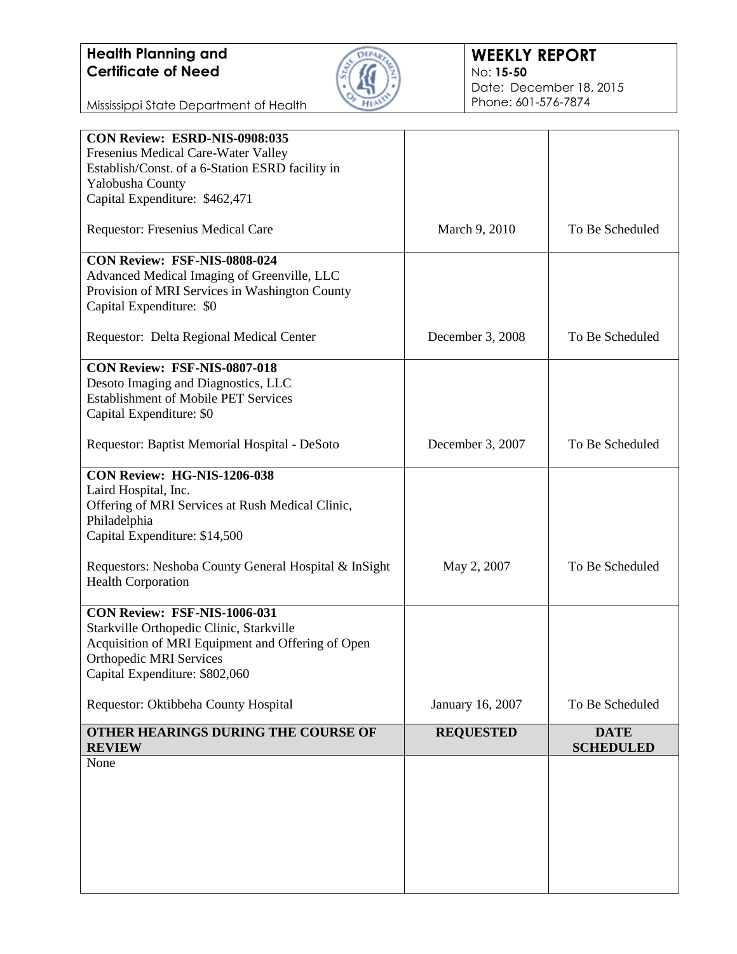

#### **WEEKLY REPORT** No: **15-50** Date: December 18, 2015 Phone: 601-576-7874

Mississippi State Department of Health

| CON Review: ESRD-NIS-0908:035                         |                  |                  |
|-------------------------------------------------------|------------------|------------------|
| Fresenius Medical Care-Water Valley                   |                  |                  |
| Establish/Const. of a 6-Station ESRD facility in      |                  |                  |
| Yalobusha County                                      |                  |                  |
| Capital Expenditure: \$462,471                        |                  |                  |
| Requestor: Fresenius Medical Care                     | March 9, 2010    | To Be Scheduled  |
| CON Review: FSF-NIS-0808-024                          |                  |                  |
| Advanced Medical Imaging of Greenville, LLC           |                  |                  |
| Provision of MRI Services in Washington County        |                  |                  |
| Capital Expenditure: \$0                              |                  |                  |
| Requestor: Delta Regional Medical Center              | December 3, 2008 | To Be Scheduled  |
| CON Review: FSF-NIS-0807-018                          |                  |                  |
| Desoto Imaging and Diagnostics, LLC                   |                  |                  |
| <b>Establishment of Mobile PET Services</b>           |                  |                  |
| Capital Expenditure: \$0                              |                  |                  |
| Requestor: Baptist Memorial Hospital - DeSoto         | December 3, 2007 | To Be Scheduled  |
|                                                       |                  |                  |
| CON Review: HG-NIS-1206-038                           |                  |                  |
| Laird Hospital, Inc.                                  |                  |                  |
| Offering of MRI Services at Rush Medical Clinic,      |                  |                  |
| Philadelphia                                          |                  |                  |
| Capital Expenditure: \$14,500                         |                  |                  |
| Requestors: Neshoba County General Hospital & InSight | May 2, 2007      | To Be Scheduled  |
| <b>Health Corporation</b>                             |                  |                  |
| CON Review: FSF-NIS-1006-031                          |                  |                  |
| Starkville Orthopedic Clinic, Starkville              |                  |                  |
| Acquisition of MRI Equipment and Offering of Open     |                  |                  |
| <b>Orthopedic MRI Services</b>                        |                  |                  |
| Capital Expenditure: \$802,060                        |                  |                  |
| Requestor: Oktibbeha County Hospital                  | January 16, 2007 | To Be Scheduled  |
| OTHER HEARINGS DURING THE COURSE OF                   | <b>REQUESTED</b> | <b>DATE</b>      |
| <b>REVIEW</b>                                         |                  | <b>SCHEDULED</b> |
| None                                                  |                  |                  |
|                                                       |                  |                  |
|                                                       |                  |                  |
|                                                       |                  |                  |
|                                                       |                  |                  |
|                                                       |                  |                  |
|                                                       |                  |                  |
|                                                       |                  |                  |